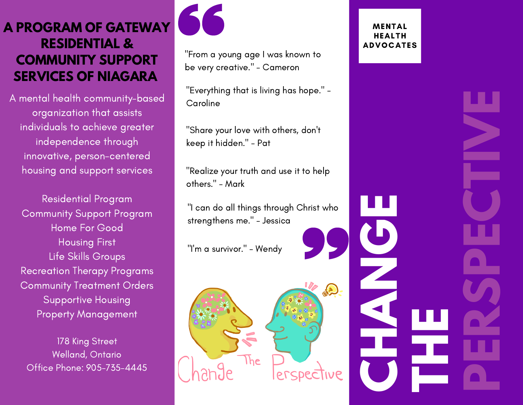## **A PROGRAM OF GATEWAY RESIDENTIAL & COMMUNITY SUPPORT SERVICES OF NIAGARA**

A mental health community-based organization that assists individuals to achieve greater independence through innovative, person-centered housing and support services

Residential Program Community Support Program Home For Good Housing First Life Skills Groups Recreation Therapy Programs Community Treatment Orders Supportive Housing Property Management

178 King Street Welland, Ontario Office Phone: 905-735-4445



"From a young age I was known to be very creative." - Cameron

"Everything that is living has hope." - **Caroline** 

"Share your love with others, don't keep it hidden." - Pat

"Realize your truth and use it to help others." - Mark

"I can do all things through Christ who strengthens me." - Jessica

"I'm a survivor." - Wendy



#### **MENTAL** HEALTH ADVOCATES

**C**

**H**

**N**

**G**

**E**

**A**

**T**

**P**

**E**

**P**

**E**

**C**

**T**

**E**

**V**

**RS**

**H**

**E**